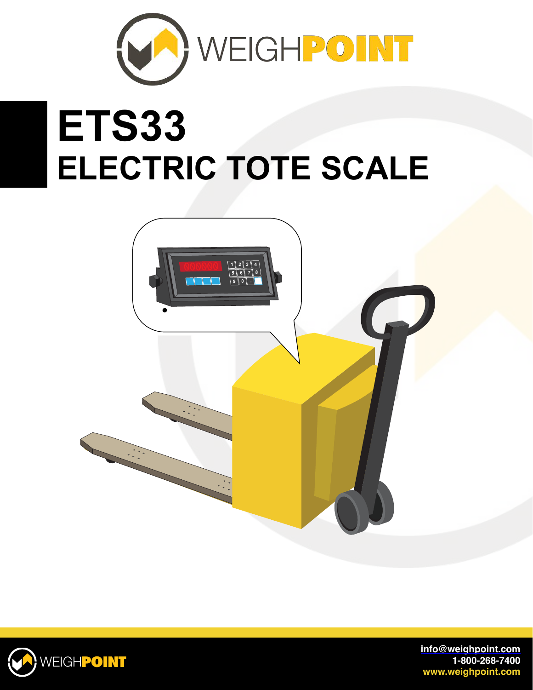

## **ETS33 ELECTRIC TOTE SCALE**





**[info@weighpoint.com](mailto:info@weighpoint.com) 1-800-268-7400 [www.weighpoint.com](http://www.weighpoint.com)**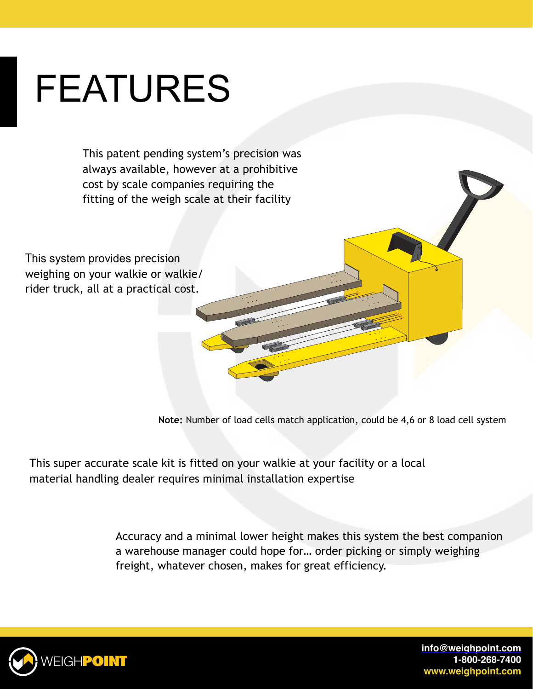## FEATURES

This patent pending system's precision was always available, however at a prohibitive cost by scale companies requiring the fitting of the weigh scale at their facility

This system provides precision weighing on your walkie or walkie/ rider truck, all at a practical cost.

**Note:** Number of load cells match application, could be 4,6 or 8 load cell system

This super accurate scale kit is fitted on your walkie at your facility or a local material handling dealer requires minimal installation expertise

> Accuracy and a minimal lower height makes this system the best companion a warehouse manager could hope for… order picking or simply weighing freight, whatever chosen, makes for great efficiency.



**[info@weighpoint.com](mailto:info@weighpoint.com) 1-800-268-7400 [www.weighpoint.com](http://www.weighpoint.com)**